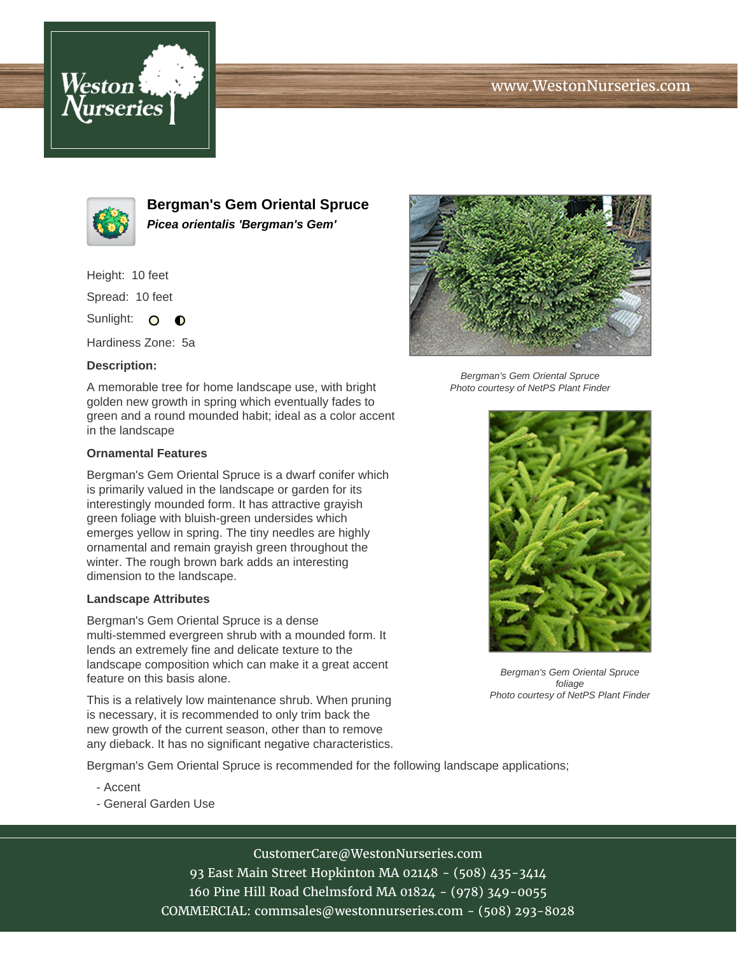# www.WestonNurseries.com





**Bergman's Gem Oriental Spruce Picea orientalis 'Bergman's Gem'**

Height: 10 feet

Spread: 10 feet

Sunlight: O **O** 

Hardiness Zone: 5a

### **Description:**

A memorable tree for home landscape use, with bright golden new growth in spring which eventually fades to green and a round mounded habit; ideal as a color accent in the landscape

#### **Ornamental Features**

Bergman's Gem Oriental Spruce is a dwarf conifer which is primarily valued in the landscape or garden for its interestingly mounded form. It has attractive grayish green foliage with bluish-green undersides which emerges yellow in spring. The tiny needles are highly ornamental and remain grayish green throughout the winter. The rough brown bark adds an interesting dimension to the landscape.

#### **Landscape Attributes**

Bergman's Gem Oriental Spruce is a dense multi-stemmed evergreen shrub with a mounded form. It lends an extremely fine and delicate texture to the landscape composition which can make it a great accent feature on this basis alone.

This is a relatively low maintenance shrub. When pruning is necessary, it is recommended to only trim back the new growth of the current season, other than to remove any dieback. It has no significant negative characteristics.

Bergman's Gem Oriental Spruce is recommended for the following landscape applications;

- Accent
- General Garden Use



CustomerCare@WestonNurseries.com 93 East Main Street Hopkinton MA 02148 - (508) 435-3414 160 Pine Hill Road Chelmsford MA 01824 - (978) 349-0055 COMMERCIAL: commsales@westonnurseries.com - (508) 293-8028



Bergman's Gem Oriental Spruce Photo courtesy of NetPS Plant Finder



Bergman's Gem Oriental Spruce foliage Photo courtesy of NetPS Plant Finder